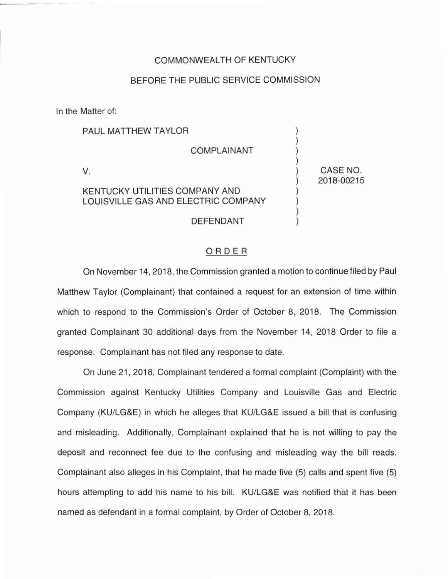## COMMONWEALTH OF KENTUCKY

## BEFORE THE PUBLIC SERVICE COMMISSION

In the Matter of:

| PAUL MATTHEW TAYLOR                                                   |                        |
|-----------------------------------------------------------------------|------------------------|
| <b>COMPLAINANT</b>                                                    |                        |
|                                                                       | CASE NO.<br>2018-00215 |
| KENTUCKY UTILITIES COMPANY AND<br>LOUISVILLE GAS AND ELECTRIC COMPANY |                        |
| DEFENDANT                                                             |                        |

## ORDER

On November 14, 2018, the Commission granted a motion to continue filed by Paul Matthew Taylor (Complainant) that contained a request for an extension of time within which to respond to the Commission's Order of October 8, 2018. The Commission granted Complainant 30 additional days from the November 14, 2018 Order to file a response. Complainant has not filed any response to date.

On June 21 , 2018, Complainant tendered a formal complaint (Complaint) with the Commission against Kentucky Utilities Company and Louisville Gas and Electric Company (KU/LG&E) in which he alleges that KU/LG&E issued a bill that is confusing and misleading. Additionally, Complainant explained that he is not willing to pay the deposit and reconnect fee due to the confusing and misleading way the bill reads. Complainant also alleges in his Complaint, that he made five (5) calls and spent five (5) hours attempting to add his name to his bill. KU/LG&E was notified that it has been named as defendant in a formal complaint, by Order of October 8, 2018.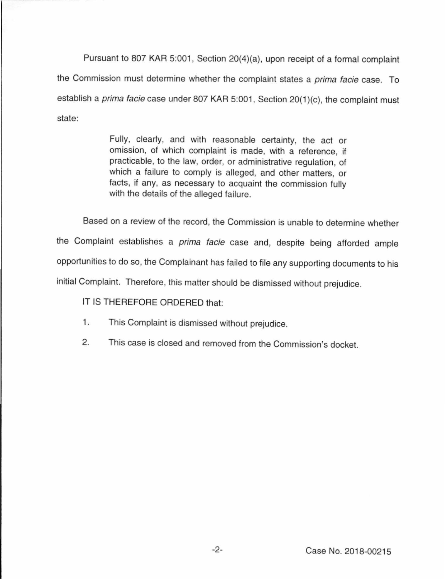Pursuant to 807 KAR 5:001, Section 20(4)(a), upon receipt of a formal complaint the Commission must determine whether the complaint states a prima facie case. To establish a prima facie case under 807 KAR 5:001, Section 20(1)(c), the complaint must state:

> Fully, clearly, and with reasonable certainty, the act or omission, of which complaint is made, with a reference, if practicable, to the law, order, or administrative regulation, of which a failure to comply is alleged, and other matters, or facts, if any, as necessary to acquaint the commission fully with the details of the alleged failure.

Based on a review of the record, the Commission is unable to determine whether the Complaint establishes a prima facie case and, despite being afforded ample opportunities to do so, the Complainant has failed to file any supporting documents to his initial Complaint. Therefore, this matter should be dismissed without prejudice.

IT IS THEREFORE ORDERED that:

- 1. This Complaint is dismissed without prejudice.
- 2. This case is closed and removed from the Commission's docket.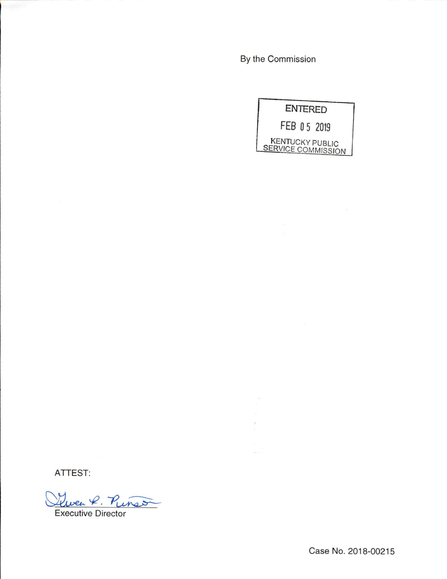By the Commission



ATTEST:

Quen R. Pinso Executive Director